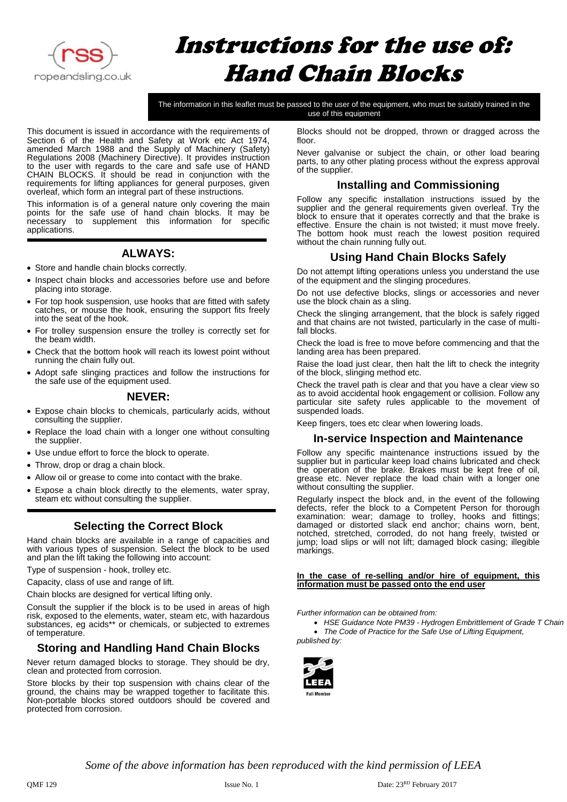

# Instructions for the use of: Hand Chain Blocks

The information in this leaflet must be passed to the user of the equipment, who must be suitably trained in the use of this equipment

This document is issued in accordance with the requirements of Section 6 of the Health and Safety at Work etc Act 1974, amended March 1988 and the Supply of Machinery (Safety) Regulations 2008 (Machinery Directive). It provides instruction to the user with regards to the care and safe use of HAND CHAIN BLOCKS. It should be read in conjunction with the requirements for lifting appliances for general purposes, given overleaf, which form an integral part of these instructions.

This information is of a general nature only covering the main points for the safe use of hand chain blocks. It may be necessary to supplement this information for specific applications.

#### **ALWAYS:**

- Store and handle chain blocks correctly.
- Inspect chain blocks and accessories before use and before placing into storage.
- For top hook suspension, use hooks that are fitted with safety catches, or mouse the hook, ensuring the support fits freely into the seat of the hook.
- For trolley suspension ensure the trolley is correctly set for the beam width.
- Check that the bottom hook will reach its lowest point without running the chain fully out.
- Adopt safe slinging practices and follow the instructions for the safe use of the equipment used.

#### **NEVER:**

- Expose chain blocks to chemicals, particularly acids, without consulting the supplier.
- Replace the load chain with a longer one without consulting the supplier.
- Use undue effort to force the block to operate.
- Throw, drop or drag a chain block.
- Allow oil or grease to come into contact with the brake.
- Expose a chain block directly to the elements, water spray, steam etc without consulting the supplier.

# **Selecting the Correct Block**

Hand chain blocks are available in a range of capacities and with various types of suspension. Select the block to be used and plan the lift taking the following into account:

Type of suspension - hook, trolley etc.

Capacity, class of use and range of lift.

Chain blocks are designed for vertical lifting only.

Consult the supplier if the block is to be used in areas of high risk, exposed to the elements, water, steam etc, with hazardous substances, eg acids\*\* or chemicals, or subjected to extremes of temperature.

# **Storing and Handling Hand Chain Blocks**

Never return damaged blocks to storage. They should be dry, clean and protected from corrosion.

Store blocks by their top suspension with chains clear of the ground, the chains may be wrapped together to facilitate this. Non-portable blocks stored outdoors should be covered and protected from corrosion.

Blocks should not be dropped, thrown or dragged across the floor.

Never galvanise or subject the chain, or other load bearing parts, to any other plating process without the express approval of the supplier.

#### **Installing and Commissioning**

Follow any specific installation instructions issued by the supplier and the general requirements given overleaf. Try the block to ensure that it operates correctly and that the brake is effective. Ensure the chain is not twisted; it must move freely. The bottom hook must reach the lowest position required without the chain running fully out.

#### **Using Hand Chain Blocks Safely**

Do not attempt lifting operations unless you understand the use of the equipment and the slinging procedures.

Do not use defective blocks, slings or accessories and never use the block chain as a sling.

Check the slinging arrangement, that the block is safely rigged and that chains are not twisted, particularly in the case of multifall blocks.

Check the load is free to move before commencing and that the landing area has been prepared.

Raise the load just clear, then halt the lift to check the integrity of the block, slinging method etc.

Check the travel path is clear and that you have a clear view so as to avoid accidental hook engagement or collision. Follow any particular site safety rules applicable to the movement of suspended loads.

Keep fingers, toes etc clear when lowering loads.

#### **In-service Inspection and Maintenance**

Follow any specific maintenance instructions issued by the supplier but in particular keep load chains lubricated and check the operation of the brake. Brakes must be kept free of oil, grease etc. Never replace the load chain with a longer one without consulting the supplier.

Regularly inspect the block and, in the event of the following defects, refer the block to a Competent Person for thorough examination: wear; damage to trolley, hooks and fittings; damaged or distorted slack end anchor; chains worn, bent, notched, stretched, corroded, do not hang freely, twisted or jump; load slips or will not lift; damaged block casing; illegible markings.

#### **In the case of re-selling and/or hire of equipment, this information must be passed onto the end user**

*Further information can be obtained from:*

• *HSE Guidance Note PM39 - Hydrogen Embrittlement of Grade T Chain*

• *The Code of Practice for the Safe Use of Lifting Equipment, published by:*



*Some of the above information has been reproduced with the kind permission of LEEA*